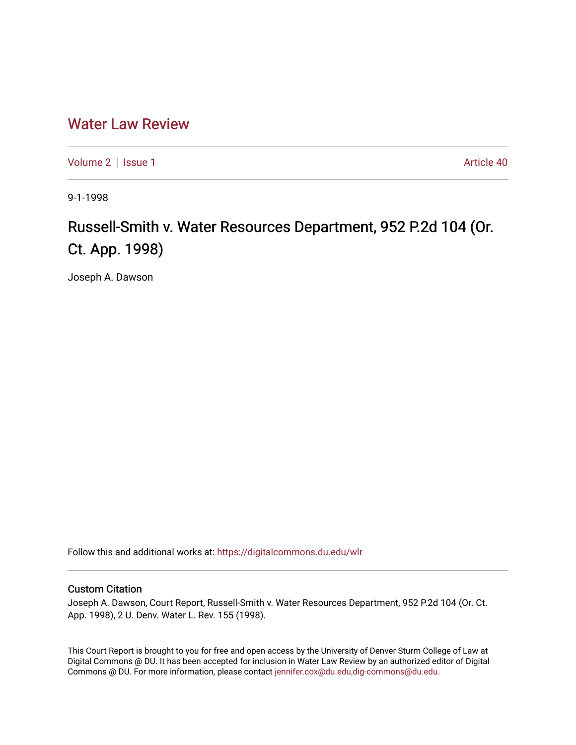## [Water Law Review](https://digitalcommons.du.edu/wlr)

[Volume 2](https://digitalcommons.du.edu/wlr/vol2) | [Issue 1](https://digitalcommons.du.edu/wlr/vol2/iss1) Article 40

9-1-1998

# Russell-Smith v. Water Resources Department, 952 P.2d 104 (Or. Ct. App. 1998)

Joseph A. Dawson

Follow this and additional works at: [https://digitalcommons.du.edu/wlr](https://digitalcommons.du.edu/wlr?utm_source=digitalcommons.du.edu%2Fwlr%2Fvol2%2Fiss1%2F40&utm_medium=PDF&utm_campaign=PDFCoverPages) 

### Custom Citation

Joseph A. Dawson, Court Report, Russell-Smith v. Water Resources Department, 952 P.2d 104 (Or. Ct. App. 1998), 2 U. Denv. Water L. Rev. 155 (1998).

This Court Report is brought to you for free and open access by the University of Denver Sturm College of Law at Digital Commons @ DU. It has been accepted for inclusion in Water Law Review by an authorized editor of Digital Commons @ DU. For more information, please contact [jennifer.cox@du.edu,dig-commons@du.edu.](mailto:jennifer.cox@du.edu,dig-commons@du.edu)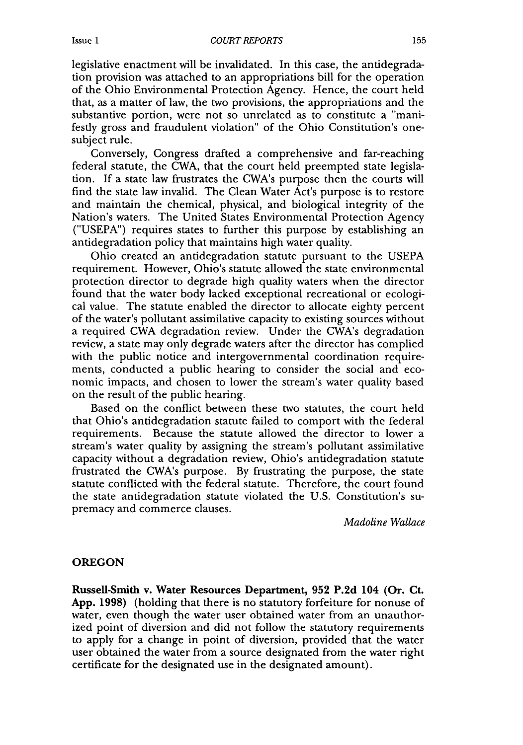legislative enactment will be invalidated. In this case, the antidegradation provision was attached to an appropriations bill for the operation of the Ohio Environmental Protection Agency. Hence, the court held that, as a matter of law, the two provisions, the appropriations and the substantive portion, were not so unrelated as to constitute a "manifestly gross and fraudulent violation" of the Ohio Constitution's onesubject rule.

Conversely, Congress drafted a comprehensive and far-reaching federal statute, the CWA, that the court held preempted state legislation. If a state law frustrates the CWA's purpose then the courts will find the state law invalid. The Clean Water Act's purpose is to restore and maintain the chemical, physical, and biological integrity of the Nation's waters. The United States Environmental Protection Agency ("USEPA") requires states to further this purpose by establishing an antidegradation policy that maintains high water quality.

Ohio created an antidegradation statute pursuant to the USEPA requirement. However, Ohio's statute allowed the state environmental protection director to degrade high quality waters when the director found that the water body lacked exceptional recreational or ecological value. The statute enabled the director to allocate eighty percent of the water's pollutant assimilative capacity to existing sources without a required CWA degradation review. Under the CWA's degradation review, a state may only degrade waters after the director has complied with the public notice and intergovernmental coordination requirements, conducted a public hearing to consider the social and economic impacts, and chosen to lower the stream's water quality based on the result of the public hearing.

Based on the conflict between these two statutes, the court held that Ohio's antidegradation statute failed to comport with the federal requirements. Because the statute allowed the director to lower a stream's water quality by assigning the stream's pollutant assimilative capacity without a degradation review, Ohio's antidegradation statute frustrated the CWA's purpose. By frustrating the purpose, the state statute conflicted with the federal statute. Therefore, the court found the state antidegradation statute violated the U.S. Constitution's supremacy and commerce clauses.

*Madoline Wallace*

#### **OREGON**

**Russell-Smith** v. Water Resources Department, **952 P.2d** 104 (Or. Ct. **App. 1998)** (holding that there is no statutory forfeiture for nonuse of water, even though the water user obtained water from an unauthorized point of diversion and did not follow the statutory requirements to apply for a change in point of diversion, provided that the water user obtained the water from a source designated from the water right certificate for the designated use in the designated amount).